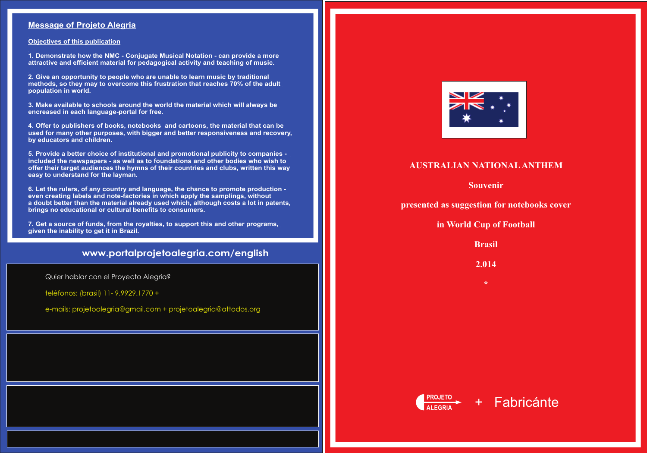## **AUSTRALIAN NATIONALANTHEM**

**Souvenir**

**presented as suggestion for notebooks cover**

**in World Cup of Football**

**Brasil**

**2.014**

**\***





## **www.portalprojetoalegria.com/english**

### **Message of Projeto Alegria**

**Objectives of this publication**

**1. Demonstrate how the NMC - Conjugate Musical Notation - can provide a more attractive and efficient material for pedagogical activity and teaching of music.**

**2. Give an opportunity to people who are unable to learn music by traditional methods, so they may to overcome this frustration that reaches 70% of the adult population in world.**

**3. Make available to schools around the world the material which will always be encreased in each language-portal for free.**

**4. Offer to publishers of books, notebooks and cartoons, the material that can be used for many other purposes, with bigger and better responsiveness and recovery, by educators and children.**

**5. Provide a better choice of institutional and promotional publicity to companies included the newspapers - as well as to foundations and other bodies who wish to offer their target audiences the hymns of their countries and clubs, written this way easy to understand for the layman.** 

**6. Let the rulers, of any country and language, the chance to promote production even creating labels and note-factories in which apply the samplings, without a doubt better than the material already used which, although costs a lot in patents, brings no educational or cultural benefits to consumers.**

**7. Get a source of funds, from the royalties, to support this and other programs, given the inability to get it in Brazil.**

Quier hablar con el Proyecto Alegria?

teléfonos: (brasil) 11- 9.9929.1770 +

e-mails: projetoalegria@gmail.com + projetoalegria@attodos.org



# + Fabricánte